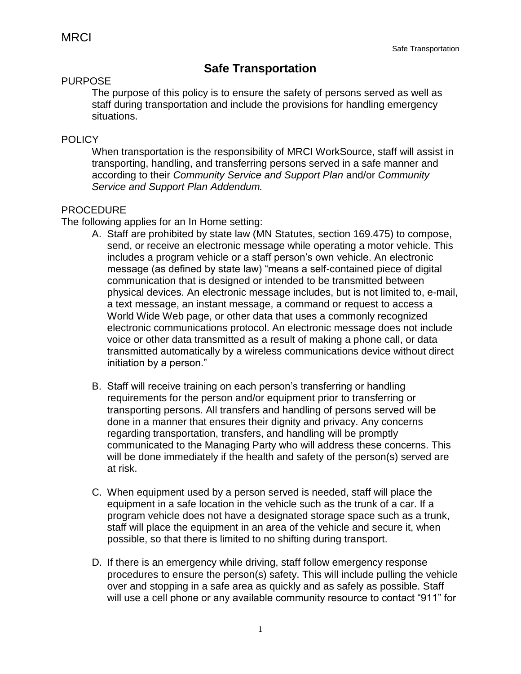## **Safe Transportation**

## PURPOSE

The purpose of this policy is to ensure the safety of persons served as well as staff during transportation and include the provisions for handling emergency situations.

## **POLICY**

When transportation is the responsibility of MRCI WorkSource, staff will assist in transporting, handling, and transferring persons served in a safe manner and according to their *Community Service and Support Plan* and/or *Community Service and Support Plan Addendum.* 

## PROCEDURE

The following applies for an In Home setting:

- A. Staff are prohibited by state law (MN Statutes, section 169.475) to compose, send, or receive an electronic message while operating a motor vehicle. This includes a program vehicle or a staff person's own vehicle. An electronic message (as defined by state law) "means a self-contained piece of digital communication that is designed or intended to be transmitted between physical devices. An electronic message includes, but is not limited to, e-mail, a text message, an instant message, a command or request to access a World Wide Web page, or other data that uses a commonly recognized electronic communications protocol. An electronic message does not include voice or other data transmitted as a result of making a phone call, or data transmitted automatically by a wireless communications device without direct initiation by a person."
- B. Staff will receive training on each person's transferring or handling requirements for the person and/or equipment prior to transferring or transporting persons. All transfers and handling of persons served will be done in a manner that ensures their dignity and privacy. Any concerns regarding transportation, transfers, and handling will be promptly communicated to the Managing Party who will address these concerns. This will be done immediately if the health and safety of the person(s) served are at risk.
- C. When equipment used by a person served is needed, staff will place the equipment in a safe location in the vehicle such as the trunk of a car. If a program vehicle does not have a designated storage space such as a trunk, staff will place the equipment in an area of the vehicle and secure it, when possible, so that there is limited to no shifting during transport.
- D. If there is an emergency while driving, staff follow emergency response procedures to ensure the person(s) safety. This will include pulling the vehicle over and stopping in a safe area as quickly and as safely as possible. Staff will use a cell phone or any available community resource to contact "911" for